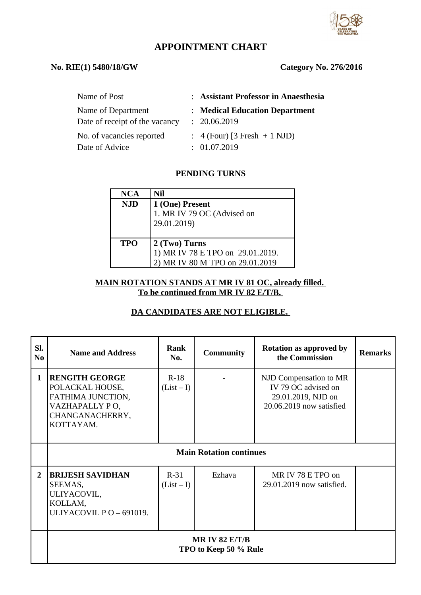

# **APPOINTMENT CHART**

# **No. RIE(1) 5480/18/GW Category No. 276/2016**

| Name of Post                                         | : Assistant Professor in Anaesthesia           |
|------------------------------------------------------|------------------------------------------------|
| Name of Department<br>Date of receipt of the vacancy | : Medical Education Department<br>: 20.06.2019 |
| No. of vacancies reported                            | $\therefore$ 4 (Four) [3 Fresh + 1 NJD)        |
| Date of Advice                                       | : 01.07.2019                                   |

# **PENDING TURNS**

| <b>NCA</b> | Nil                                                                                  |
|------------|--------------------------------------------------------------------------------------|
| <b>NJD</b> | 1 (One) Present<br>1. MR IV 79 OC (Advised on<br>29.01.2019)                         |
| <b>TPO</b> | 2 (Two) Turns<br>1) MR IV 78 E TPO on 29.01.2019.<br>2) MR IV 80 M TPO on 29.01.2019 |

#### **MAIN ROTATION STANDS AT MR IV 81 OC, already filled. To be continued from MR IV 82 E/T/B.**

### **DA CANDIDATES ARE NOT ELIGIBLE.**

| SI.<br>N <sub>0</sub> | <b>Name and Address</b>                                                                                         | Rank<br>No.          | <b>Community</b> | <b>Rotation as approved by</b><br>the Commission                                                | <b>Remarks</b> |  |
|-----------------------|-----------------------------------------------------------------------------------------------------------------|----------------------|------------------|-------------------------------------------------------------------------------------------------|----------------|--|
| $\mathbf 1$           | <b>RENGITH GEORGE</b><br>POLACKAL HOUSE,<br>FATHIMA JUNCTION,<br>VAZHAPALLY PO,<br>CHANGANACHERRY,<br>KOTTAYAM. | $R-18$<br>$(List-I)$ |                  | NJD Compensation to MR<br>IV 79 OC advised on<br>29.01.2019, NJD on<br>20.06.2019 now satisfied |                |  |
|                       | <b>Main Rotation continues</b>                                                                                  |                      |                  |                                                                                                 |                |  |
| $\overline{2}$        | <b>BRIJESH SAVIDHAN</b><br>SEEMAS,<br>ULIYACOVIL,<br>KOLLAM,<br>ULIYACOVIL PO-691019.                           | $R-31$<br>$(List-I)$ | Ezhava           | MR IV 78 E TPO on<br>29.01.2019 now satisfied.                                                  |                |  |
|                       | MR IV 82 $E/T/B$<br>TPO to Keep 50 % Rule                                                                       |                      |                  |                                                                                                 |                |  |